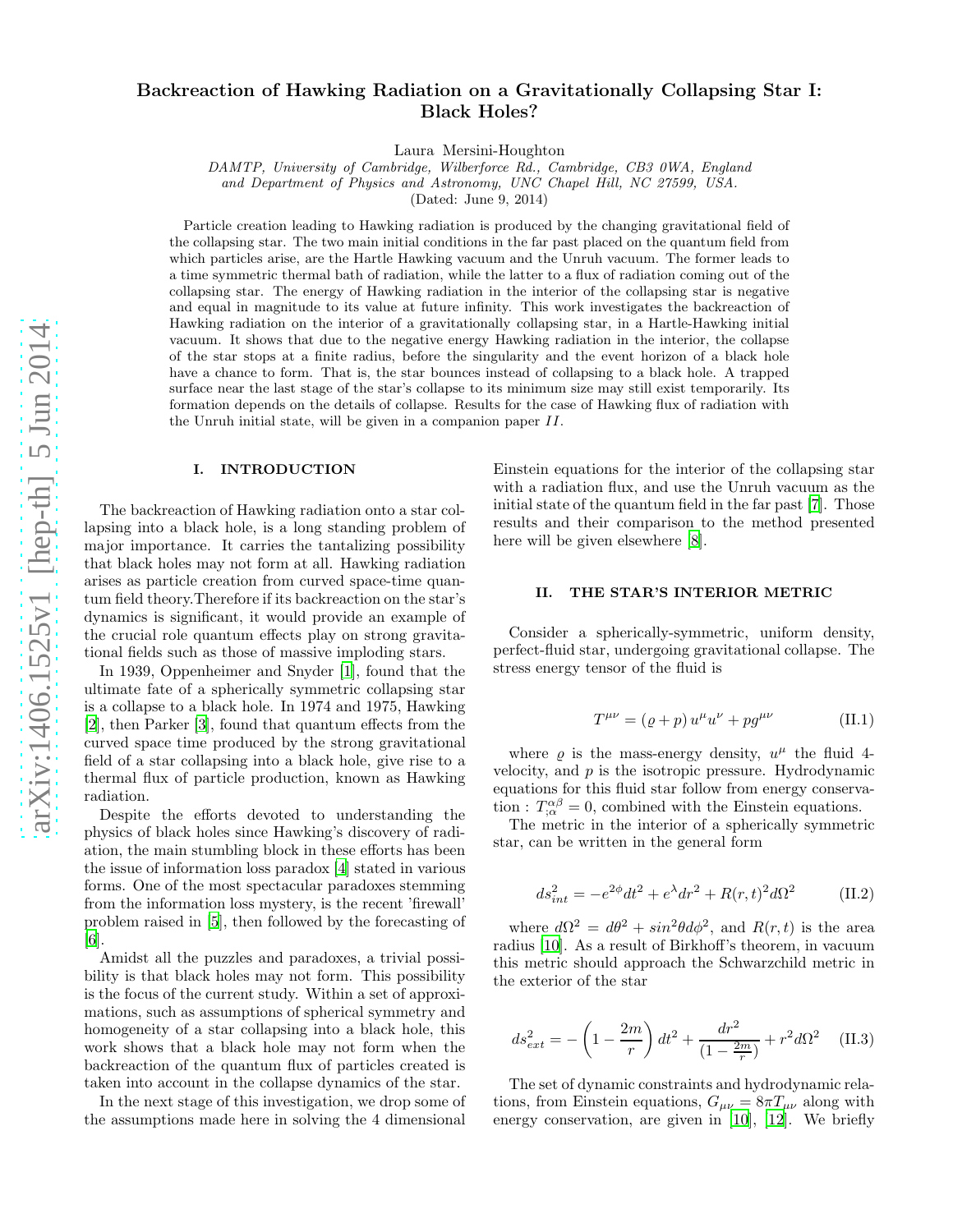# Backreaction of Hawking Radiation on a Gravitationally Collapsing Star I: Black Holes?

Laura Mersini-Houghton

DAMTP, University of Cambridge, Wilberforce Rd., Cambridge, CB3 0WA, England and Department of Physics and Astronomy, UNC Chapel Hill, NC 27599, USA.

(Dated: June 9, 2014)

Particle creation leading to Hawking radiation is produced by the changing gravitational field of the collapsing star. The two main initial conditions in the far past placed on the quantum field from which particles arise, are the Hartle Hawking vacuum and the Unruh vacuum. The former leads to a time symmetric thermal bath of radiation, while the latter to a flux of radiation coming out of the collapsing star. The energy of Hawking radiation in the interior of the collapsing star is negative and equal in magnitude to its value at future infinity. This work investigates the backreaction of Hawking radiation on the interior of a gravitationally collapsing star, in a Hartle-Hawking initial vacuum. It shows that due to the negative energy Hawking radiation in the interior, the collapse of the star stops at a finite radius, before the singularity and the event horizon of a black hole have a chance to form. That is, the star bounces instead of collapsing to a black hole. A trapped surface near the last stage of the star's collapse to its minimum size may still exist temporarily. Its formation depends on the details of collapse. Results for the case of Hawking flux of radiation with the Unruh initial state, will be given in a companion paper  $II$ .

# I. INTRODUCTION

The backreaction of Hawking radiation onto a star collapsing into a black hole, is a long standing problem of major importance. It carries the tantalizing possibility that black holes may not form at all. Hawking radiation arises as particle creation from curved space-time quantum field theory.Therefore if its backreaction on the star's dynamics is significant, it would provide an example of the crucial role quantum effects play on strong gravitational fields such as those of massive imploding stars.

In 1939, Oppenheimer and Snyder [\[1\]](#page-7-0), found that the ultimate fate of a spherically symmetric collapsing star is a collapse to a black hole. In 1974 and 1975, Hawking [\[2\]](#page-7-1), then Parker [\[3](#page-7-2)], found that quantum effects from the curved space time produced by the strong gravitational field of a star collapsing into a black hole, give rise to a thermal flux of particle production, known as Hawking radiation.

Despite the efforts devoted to understanding the physics of black holes since Hawking's discovery of radiation, the main stumbling block in these efforts has been the issue of information loss paradox [\[4](#page-7-3)] stated in various forms. One of the most spectacular paradoxes stemming from the information loss mystery, is the recent 'firewall' problem raised in [\[5\]](#page-7-4), then followed by the forecasting of [\[6\]](#page-7-5).

Amidst all the puzzles and paradoxes, a trivial possibility is that black holes may not form. This possibility is the focus of the current study. Within a set of approximations, such as assumptions of spherical symmetry and homogeneity of a star collapsing into a black hole, this work shows that a black hole may not form when the backreaction of the quantum flux of particles created is taken into account in the collapse dynamics of the star.

In the next stage of this investigation, we drop some of the assumptions made here in solving the 4 dimensional

Einstein equations for the interior of the collapsing star with a radiation flux, and use the Unruh vacuum as the initial state of the quantum field in the far past [\[7](#page-7-6)]. Those results and their comparison to the method presented here will be given elsewhere [\[8](#page-7-7)].

# II. THE STAR'S INTERIOR METRIC

Consider a spherically-symmetric, uniform density, perfect-fluid star, undergoing gravitational collapse. The stress energy tensor of the fluid is

$$
T^{\mu\nu} = (\varrho + p) u^{\mu} u^{\nu} + p g^{\mu\nu} \tag{II.1}
$$

where  $\rho$  is the mass-energy density,  $u^{\mu}$  the fluid 4velocity, and p is the isotropic pressure. Hydrodynamic equations for this fluid star follow from energy conservation :  $T_{;\alpha}^{\alpha\beta} = 0$ , combined with the Einstein equations.

The metric in the interior of a spherically symmetric star, can be written in the general form

<span id="page-0-0"></span>
$$
ds_{int}^{2} = -e^{2\phi}dt^{2} + e^{\lambda}dr^{2} + R(r,t)^{2}d\Omega^{2}
$$
 (II.2)

where  $d\Omega^2 = d\theta^2 + sin^2\theta d\phi^2$ , and  $R(r, t)$  is the area radius [\[10\]](#page-7-8). As a result of Birkhoff's theorem, in vacuum this metric should approach the Schwarzchild metric in the exterior of the star

$$
ds_{ext}^2 = -\left(1 - \frac{2m}{r}\right)dt^2 + \frac{dr^2}{\left(1 - \frac{2m}{r}\right)} + r^2d\Omega^2 \quad \text{(II.3)}
$$

The set of dynamic constraints and hydrodynamic relations, from Einstein equations,  $G_{\mu\nu} = 8\pi T_{\mu\nu}$  along with energy conservation, are given in [\[10\]](#page-7-8), [\[12\]](#page-7-9). We briefly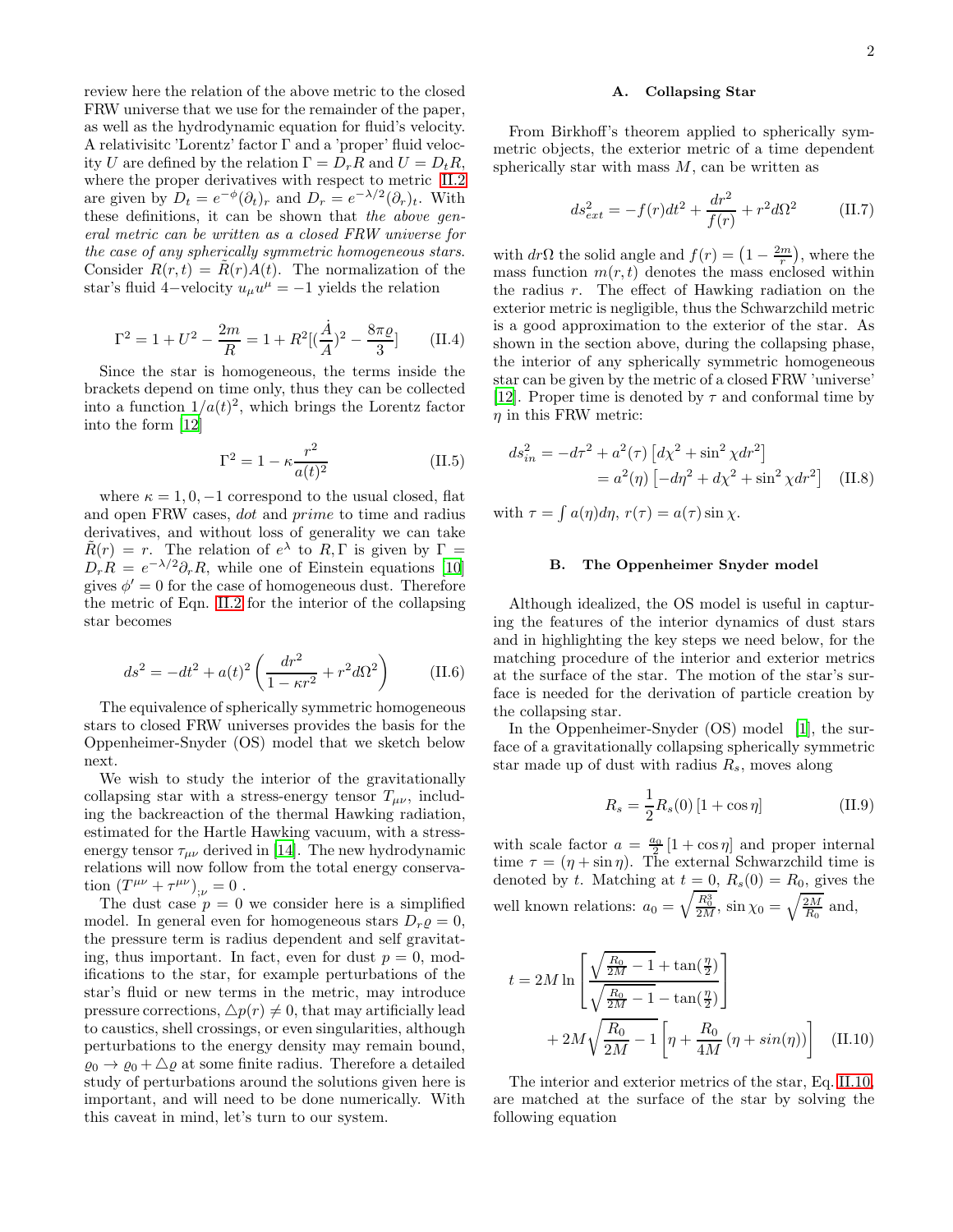review here the relation of the above metric to the closed FRW universe that we use for the remainder of the paper, as well as the hydrodynamic equation for fluid's velocity. A relativisitc 'Lorentz' factor Γ and a 'proper' fluid velocity U are defined by the relation  $\Gamma = D_r R$  and  $U = D_t R$ , where the proper derivatives with respect to metric [II.2](#page-0-0) are given by  $D_t = e^{-\phi}(\partial_t)_r$  and  $D_r = e^{-\lambda/2}(\partial_r)_t$ . With these definitions, it can be shown that *the above general metric can be written as a closed FRW universe for the case of any spherically symmetric homogeneous stars*. Consider  $R(r, t) = R(r)A(t)$ . The normalization of the star's fluid 4-velocity  $u_{\mu}u^{\mu} = -1$  yields the relation

$$
\Gamma^2 = 1 + U^2 - \frac{2m}{R} = 1 + R^2 [(\frac{\dot{A}}{A})^2 - \frac{8\pi\varrho}{3}] \tag{II.4}
$$

Since the star is homogeneous, the terms inside the brackets depend on time only, thus they can be collected into a function  $1/a(t)^2$ , which brings the Lorentz factor into the form [\[12\]](#page-7-9)

$$
\Gamma^2 = 1 - \kappa \frac{r^2}{a(t)^2} \tag{II.5}
$$

where  $\kappa = 1, 0, -1$  correspond to the usual closed, flat and open FRW cases, dot and prime to time and radius derivatives, and without loss of generality we can take  $\tilde{R}(r) = r$ . The relation of  $e^{\lambda}$  to  $R, \Gamma$  is given by  $\Gamma =$  $D_r R = e^{-\lambda/2} \partial_r R$ , while one of Einstein equations [\[10](#page-7-8)] gives  $\phi' = 0$  for the case of homogeneous dust. Therefore the metric of Eqn. [II.2](#page-0-0) for the interior of the collapsing star becomes

$$
ds^{2} = -dt^{2} + a(t)^{2} \left(\frac{dr^{2}}{1 - \kappa r^{2}} + r^{2} d\Omega^{2}\right)
$$
 (II.6)

The equivalence of spherically symmetric homogeneous stars to closed FRW universes provides the basis for the Oppenheimer-Snyder (OS) model that we sketch below next.

We wish to study the interior of the gravitationally collapsing star with a stress-energy tensor  $T_{\mu\nu}$ , including the backreaction of the thermal Hawking radiation, estimated for the Hartle Hawking vacuum, with a stressenergy tensor  $\tau_{\mu\nu}$  derived in [\[14](#page-7-10)]. The new hydrodynamic relations will now follow from the total energy conservation  $(T^{\mu\nu} + \tau^{\mu\nu})_{;\nu} = 0$ .

The dust case  $p = 0$  we consider here is a simplified model. In general even for homogeneous stars  $D_r \rho = 0$ , the pressure term is radius dependent and self gravitating, thus important. In fact, even for dust  $p = 0$ , modifications to the star, for example perturbations of the star's fluid or new terms in the metric, may introduce pressure corrections,  $\Delta p(r) \neq 0$ , that may artificially lead to caustics, shell crossings, or even singularities, although perturbations to the energy density may remain bound,  $\rho_0 \rightarrow \rho_0 + \Delta \rho$  at some finite radius. Therefore a detailed study of perturbations around the solutions given here is important, and will need to be done numerically. With this caveat in mind, let's turn to our system.

# A. Collapsing Star

From Birkhoff's theorem applied to spherically symmetric objects, the exterior metric of a time dependent spherically star with mass  $M$ , can be written as

$$
ds_{ext}^2 = -f(r)dt^2 + \frac{dr^2}{f(r)} + r^2d\Omega^2
$$
 (II.7)

with  $dr\Omega$  the solid angle and  $f(r) = \left(1 - \frac{2m}{r}\right)$ , where the mass function  $m(r, t)$  denotes the mass enclosed within the radius r. The effect of Hawking radiation on the exterior metric is negligible, thus the Schwarzchild metric is a good approximation to the exterior of the star. As shown in the section above, during the collapsing phase, the interior of any spherically symmetric homogeneous star can be given by the metric of a closed FRW 'universe' [\[12\]](#page-7-9). Proper time is denoted by  $\tau$  and conformal time by  $\eta$  in this FRW metric:

$$
ds_{in}^{2} = -d\tau^{2} + a^{2}(\tau) \left[ d\chi^{2} + \sin^{2} \chi dr^{2} \right]
$$
  
=  $a^{2}(\eta) \left[ -d\eta^{2} + d\chi^{2} + \sin^{2} \chi dr^{2} \right]$  (II.8)

with  $\tau = \int a(\eta) d\eta$ ,  $r(\tau) = a(\tau) \sin \chi$ .

#### B. The Oppenheimer Snyder model

Although idealized, the OS model is useful in capturing the features of the interior dynamics of dust stars and in highlighting the key steps we need below, for the matching procedure of the interior and exterior metrics at the surface of the star. The motion of the star's surface is needed for the derivation of particle creation by the collapsing star.

In the Oppenheimer-Snyder (OS) model [\[1\]](#page-7-0), the surface of a gravitationally collapsing spherically symmetric star made up of dust with radius  $R_s$ , moves along

<span id="page-1-0"></span>
$$
R_s = \frac{1}{2} R_s(0) [1 + \cos \eta]
$$
 (II.9)

with scale factor  $a = \frac{a_0}{2} [1 + \cos \eta]$  and proper internal time  $\tau = (\eta + \sin \eta)$ . The external Schwarzchild time is denoted by t. Matching at  $t = 0$ ,  $R_s(0) = R_0$ , gives the well known relations:  $a_0 = \sqrt{\frac{R_0^3}{2M}}$ ,  $\sin \chi_0 = \sqrt{\frac{2M}{R_0}}$  and,

$$
t = 2M \ln \left[ \frac{\sqrt{\frac{R_0}{2M} - 1} + \tan(\frac{\eta}{2})}{\sqrt{\frac{R_0}{2M} - 1} - \tan(\frac{\eta}{2})} \right] + 2M \sqrt{\frac{R_0}{2M} - 1} \left[ \eta + \frac{R_0}{4M} \left( \eta + \sin(\eta) \right) \right]
$$
(II.10)

The interior and exterior metrics of the star, Eq. [II.10,](#page-1-0) are matched at the surface of the star by solving the following equation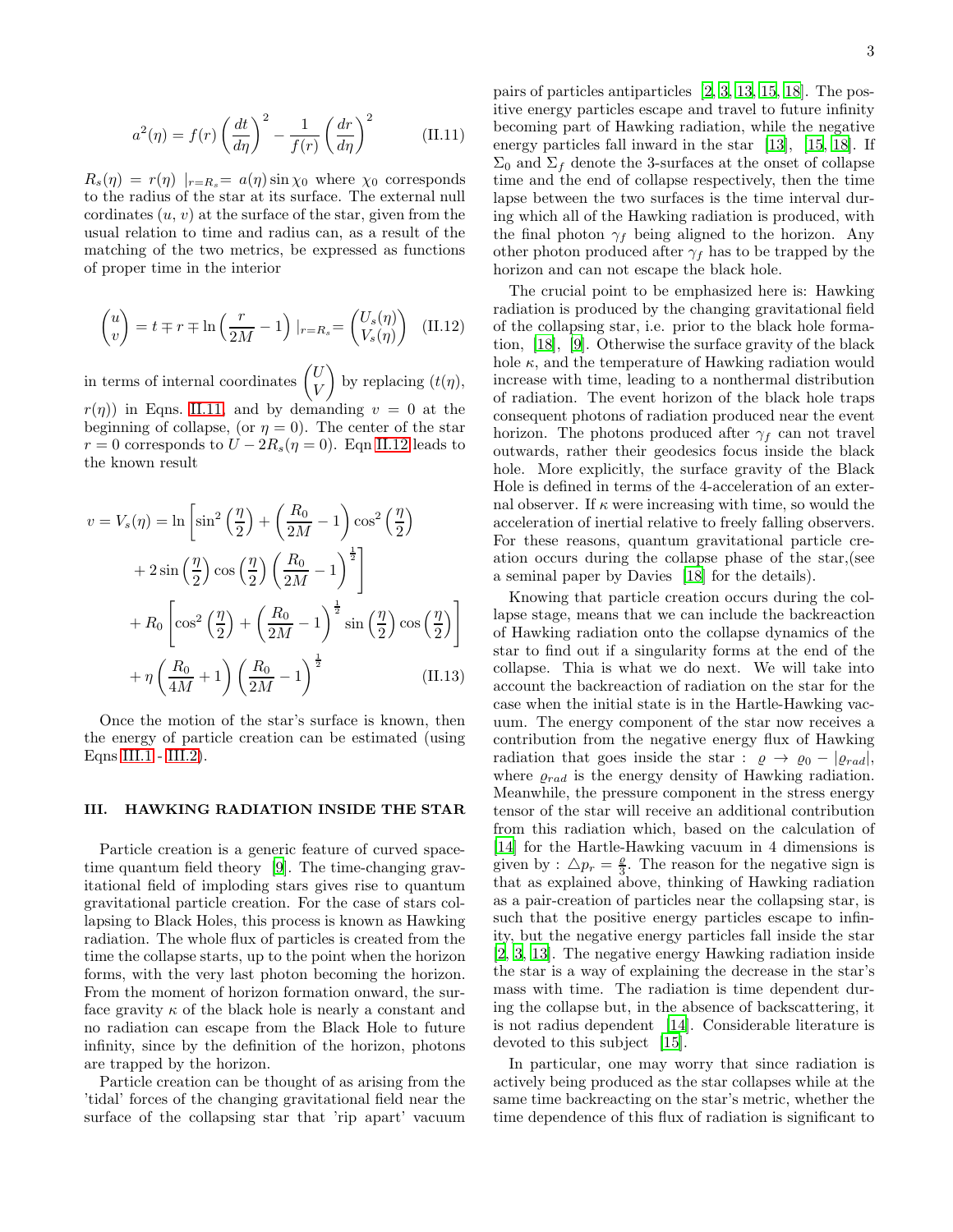<span id="page-2-0"></span>
$$
a^{2}(\eta) = f(r) \left(\frac{dt}{d\eta}\right)^{2} - \frac{1}{f(r)} \left(\frac{dr}{d\eta}\right)^{2} \quad (II.11)
$$

 $R_s(\eta) = r(\eta) |_{r=R_s} = a(\eta) \sin \chi_0$  where  $\chi_0$  corresponds to the radius of the star at its surface. The external null cordinates  $(u, v)$  at the surface of the star, given from the usual relation to time and radius can, as a result of the matching of the two metrics, be expressed as functions of proper time in the interior

<span id="page-2-1"></span>
$$
\begin{pmatrix} u \\ v \end{pmatrix} = t \mp r \mp \ln\left(\frac{r}{2M} - 1\right) \vert_{r=R_s} = \begin{pmatrix} U_s(\eta) \\ V_s(\eta) \end{pmatrix} \quad \text{(II.12)}
$$

in terms of internal coordinates  $\begin{pmatrix} U \\ V \end{pmatrix}$ V by replacing  $(t(\eta))$ ,  $r(\eta)$  in Eqns. [II.11,](#page-2-0) and by demanding  $v = 0$  at the beginning of collapse, (or  $\eta = 0$ ). The center of the star  $r = 0$  corresponds to  $U - 2R_s(\eta = 0)$ . Eqn [II.12](#page-2-1) leads to the known result

$$
v = V_s(\eta) = \ln\left[\sin^2\left(\frac{\eta}{2}\right) + \left(\frac{R_0}{2M} - 1\right)\cos^2\left(\frac{\eta}{2}\right) + 2\sin\left(\frac{\eta}{2}\right)\cos\left(\frac{\eta}{2}\right)\left(\frac{R_0}{2M} - 1\right)^{\frac{1}{2}}\right] + R_0\left[\cos^2\left(\frac{\eta}{2}\right) + \left(\frac{R_0}{2M} - 1\right)^{\frac{1}{2}}\sin\left(\frac{\eta}{2}\right)\cos\left(\frac{\eta}{2}\right)\right] + \eta\left(\frac{R_0}{4M} + 1\right)\left(\frac{R_0}{2M} - 1\right)^{\frac{1}{2}} \qquad (II.13)
$$

Once the motion of the star's surface is known, then the energy of particle creation can be estimated (using Eqns [III.1](#page-3-0)- [III.2\)](#page-3-1).

# III. HAWKING RADIATION INSIDE THE STAR

Particle creation is a generic feature of curved spacetime quantum field theory [\[9](#page-7-11)]. The time-changing gravitational field of imploding stars gives rise to quantum gravitational particle creation. For the case of stars collapsing to Black Holes, this process is known as Hawking radiation. The whole flux of particles is created from the time the collapse starts, up to the point when the horizon forms, with the very last photon becoming the horizon. From the moment of horizon formation onward, the surface gravity  $\kappa$  of the black hole is nearly a constant and no radiation can escape from the Black Hole to future infinity, since by the definition of the horizon, photons are trapped by the horizon.

Particle creation can be thought of as arising from the 'tidal' forces of the changing gravitational field near the surface of the collapsing star that 'rip apart' vacuum

pairs of particles antiparticles [\[2,](#page-7-1) [3](#page-7-2), [13,](#page-7-12) [15,](#page-7-13) [18\]](#page-7-14). The positive energy particles escape and travel to future infinity becoming part of Hawking radiation, while the negative energy particles fall inward in the star [\[13\]](#page-7-12), [\[15](#page-7-13), [18](#page-7-14)]. If  $\Sigma_0$  and  $\Sigma_f$  denote the 3-surfaces at the onset of collapse time and the end of collapse respectively, then the time lapse between the two surfaces is the time interval during which all of the Hawking radiation is produced, with the final photon  $\gamma_f$  being aligned to the horizon. Any other photon produced after  $\gamma_f$  has to be trapped by the horizon and can not escape the black hole.

The crucial point to be emphasized here is: Hawking radiation is produced by the changing gravitational field of the collapsing star, i.e. prior to the black hole formation, [\[18](#page-7-14)], [\[9\]](#page-7-11). Otherwise the surface gravity of the black hole  $\kappa$ , and the temperature of Hawking radiation would increase with time, leading to a nonthermal distribution of radiation. The event horizon of the black hole traps consequent photons of radiation produced near the event horizon. The photons produced after  $\gamma_f$  can not travel outwards, rather their geodesics focus inside the black hole. More explicitly, the surface gravity of the Black Hole is defined in terms of the 4-acceleration of an external observer. If  $\kappa$  were increasing with time, so would the acceleration of inertial relative to freely falling observers. For these reasons, quantum gravitational particle creation occurs during the collapse phase of the star,(see a seminal paper by Davies [\[18](#page-7-14)] for the details).

Knowing that particle creation occurs during the collapse stage, means that we can include the backreaction of Hawking radiation onto the collapse dynamics of the star to find out if a singularity forms at the end of the collapse. Thia is what we do next. We will take into account the backreaction of radiation on the star for the case when the initial state is in the Hartle-Hawking vacuum. The energy component of the star now receives a contribution from the negative energy flux of Hawking radiation that goes inside the star :  $\rho \rightarrow \rho_0 - |\rho_{rad}|$ , where  $\varrho_{rad}$  is the energy density of Hawking radiation. Meanwhile, the pressure component in the stress energy tensor of the star will receive an additional contribution from this radiation which, based on the calculation of [\[14\]](#page-7-10) for the Hartle-Hawking vacuum in 4 dimensions is given by :  $\Delta p_r = \frac{\rho}{3}$ . The reason for the negative sign is that as explained above, thinking of Hawking radiation as a pair-creation of particles near the collapsing star, is such that the positive energy particles escape to infinity, but the negative energy particles fall inside the star [\[2,](#page-7-1) [3,](#page-7-2) [13\]](#page-7-12). The negative energy Hawking radiation inside the star is a way of explaining the decrease in the star's mass with time. The radiation is time dependent during the collapse but, in the absence of backscattering, it is not radius dependent [\[14\]](#page-7-10). Considerable literature is devoted to this subject [\[15\]](#page-7-13).

In particular, one may worry that since radiation is actively being produced as the star collapses while at the same time backreacting on the star's metric, whether the time dependence of this flux of radiation is significant to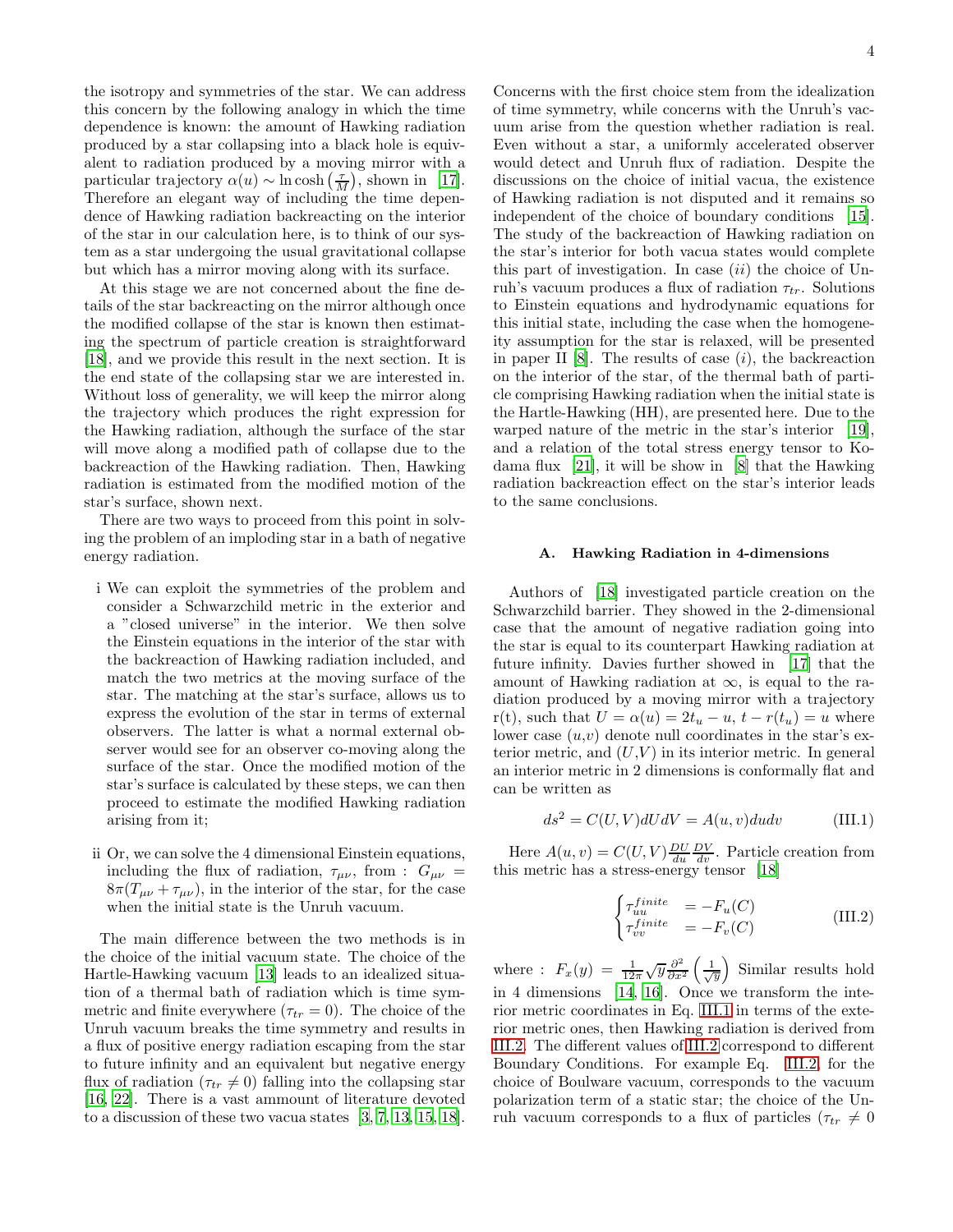the isotropy and symmetries of the star. We can address this concern by the following analogy in which the time dependence is known: the amount of Hawking radiation produced by a star collapsing into a black hole is equivalent to radiation produced by a moving mirror with a particular trajectory  $\alpha(u) \sim \ln \cosh\left(\frac{\tau}{M}\right)$ , shown in [\[17\]](#page-7-15). Therefore an elegant way of including the time dependence of Hawking radiation backreacting on the interior of the star in our calculation here, is to think of our system as a star undergoing the usual gravitational collapse but which has a mirror moving along with its surface.

At this stage we are not concerned about the fine details of the star backreacting on the mirror although once the modified collapse of the star is known then estimating the spectrum of particle creation is straightforward [\[18\]](#page-7-14), and we provide this result in the next section. It is the end state of the collapsing star we are interested in. Without loss of generality, we will keep the mirror along the trajectory which produces the right expression for the Hawking radiation, although the surface of the star will move along a modified path of collapse due to the backreaction of the Hawking radiation. Then, Hawking radiation is estimated from the modified motion of the star's surface, shown next.

There are two ways to proceed from this point in solving the problem of an imploding star in a bath of negative energy radiation.

- i We can exploit the symmetries of the problem and consider a Schwarzchild metric in the exterior and a "closed universe" in the interior. We then solve the Einstein equations in the interior of the star with the backreaction of Hawking radiation included, and match the two metrics at the moving surface of the star. The matching at the star's surface, allows us to express the evolution of the star in terms of external observers. The latter is what a normal external observer would see for an observer co-moving along the surface of the star. Once the modified motion of the star's surface is calculated by these steps, we can then proceed to estimate the modified Hawking radiation arising from it;
- ii Or, we can solve the 4 dimensional Einstein equations, including the flux of radiation,  $\tau_{\mu\nu}$ , from :  $G_{\mu\nu}$  =  $8\pi(T_{\mu\nu} + \tau_{\mu\nu})$ , in the interior of the star, for the case when the initial state is the Unruh vacuum.

The main difference between the two methods is in the choice of the initial vacuum state. The choice of the Hartle-Hawking vacuum [\[13\]](#page-7-12) leads to an idealized situation of a thermal bath of radiation which is time symmetric and finite everywhere ( $\tau_{tr} = 0$ ). The choice of the Unruh vacuum breaks the time symmetry and results in a flux of positive energy radiation escaping from the star to future infinity and an equivalent but negative energy flux of radiation ( $\tau_{tr} \neq 0$ ) falling into the collapsing star [\[16,](#page-7-16) [22](#page-7-17)]. There is a vast ammount of literature devoted to a discussion of these two vacua states [\[3](#page-7-2), [7,](#page-7-6) [13,](#page-7-12) [15](#page-7-13), [18\]](#page-7-14).

Concerns with the first choice stem from the idealization of time symmetry, while concerns with the Unruh's vacuum arise from the question whether radiation is real. Even without a star, a uniformly accelerated observer would detect and Unruh flux of radiation. Despite the discussions on the choice of initial vacua, the existence of Hawking radiation is not disputed and it remains so independent of the choice of boundary conditions [\[15\]](#page-7-13). The study of the backreaction of Hawking radiation on the star's interior for both vacua states would complete this part of investigation. In case  $(ii)$  the choice of Unruh's vacuum produces a flux of radiation  $\tau_{tr}$ . Solutions to Einstein equations and hydrodynamic equations for this initial state, including the case when the homogeneity assumption for the star is relaxed, will be presented in paper II  $[8]$ . The results of case  $(i)$ , the backreaction on the interior of the star, of the thermal bath of particle comprising Hawking radiation when the initial state is the Hartle-Hawking (HH), are presented here. Due to the warped nature of the metric in the star's interior [\[19\]](#page-7-18), and a relation of the total stress energy tensor to Kodama flux [\[21](#page-7-19)], it will be show in [\[8](#page-7-7)] that the Hawking radiation backreaction effect on the star's interior leads to the same conclusions.

#### <span id="page-3-2"></span>A. Hawking Radiation in 4-dimensions

Authors of [\[18](#page-7-14)] investigated particle creation on the Schwarzchild barrier. They showed in the 2-dimensional case that the amount of negative radiation going into the star is equal to its counterpart Hawking radiation at future infinity. Davies further showed in [\[17\]](#page-7-15) that the amount of Hawking radiation at  $\infty$ , is equal to the radiation produced by a moving mirror with a trajectory r(t), such that  $U = \alpha(u) = 2t_u - u$ ,  $t - r(t_u) = u$  where lower case  $(u,v)$  denote null coordinates in the star's exterior metric, and  $(U, V)$  in its interior metric. In general an interior metric in 2 dimensions is conformally flat and can be written as

<span id="page-3-0"></span>
$$
ds^{2} = C(U, V)dUdV = A(u, v)dudv
$$
 (III.1)

Here  $A(u, v) = C(U, V) \frac{DU}{du} \frac{DV}{dv}$ . Particle creation from this metric has a stress-energy tensor [\[18\]](#page-7-14)

<span id="page-3-1"></span>
$$
\begin{cases}\n\tau_{uu}^{finite} &= -F_u(C) \\
\tau_{vv}^{finite} &= -F_v(C)\n\end{cases}
$$
\n(III.2)

where :  $F_x(y) = \frac{1}{12\pi} \sqrt{y} \frac{\partial^2}{\partial x^2}$  $\frac{\partial^2}{\partial x^2} \left( \frac{1}{\sqrt{y}} \right)$  Similar results hold in 4 dimensions [\[14](#page-7-10), [16\]](#page-7-16). Once we transform the interior metric coordinates in Eq. [III.1](#page-3-0) in terms of the exterior metric ones, then Hawking radiation is derived from [III.2.](#page-3-1) The different values of [III.2](#page-3-1) correspond to different Boundary Conditions. For example Eq. [III.2,](#page-3-1) for the choice of Boulware vacuum, corresponds to the vacuum polarization term of a static star; the choice of the Unruh vacuum corresponds to a flux of particles ( $\tau_{tr} \neq 0$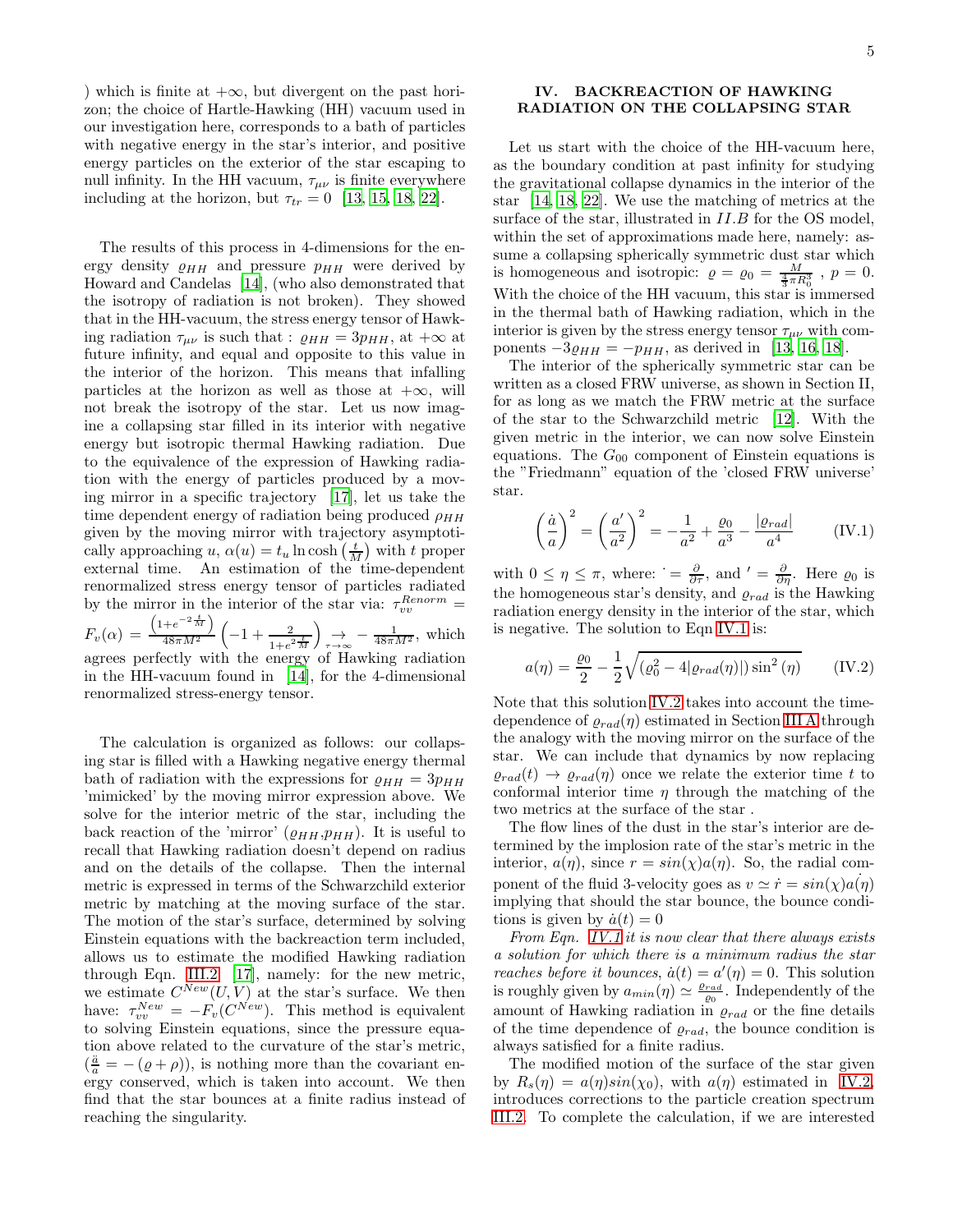) which is finite at  $+\infty$ , but divergent on the past horizon; the choice of Hartle-Hawking (HH) vacuum used in our investigation here, corresponds to a bath of particles with negative energy in the star's interior, and positive energy particles on the exterior of the star escaping to null infinity. In the HH vacuum,  $\tau_{\mu\nu}$  is finite everywhere including at the horizon, but  $\tau_{tr} = 0$  [\[13,](#page-7-12) [15,](#page-7-13) [18,](#page-7-14) [22\]](#page-7-17).

The results of this process in 4-dimensions for the energy density  $\rho_{HH}$  and pressure  $p_{HH}$  were derived by Howard and Candelas [\[14\]](#page-7-10), (who also demonstrated that the isotropy of radiation is not broken). They showed that in the HH-vacuum, the stress energy tensor of Hawking radiation  $\tau_{\mu\nu}$  is such that :  $\varrho_{HH} = 3p_{HH}$ , at  $+\infty$  at future infinity, and equal and opposite to this value in the interior of the horizon. This means that infalling particles at the horizon as well as those at  $+\infty$ , will not break the isotropy of the star. Let us now imagine a collapsing star filled in its interior with negative energy but isotropic thermal Hawking radiation. Due to the equivalence of the expression of Hawking radiation with the energy of particles produced by a moving mirror in a specific trajectory [\[17](#page-7-15)], let us take the time dependent energy of radiation being produced  $\rho_{HH}$ given by the moving mirror with trajectory asymptotically approaching  $u, \alpha(u) = t_u \ln \cosh(\frac{t}{M})$  with t proper external time. An estimation of the time-dependent renormalized stress energy tensor of particles radiated by the mirror in the interior of the star via:  $\tau_{vv}^{Renorm}$  =  $F_v(\alpha) =$  $\left(1+e^{-2\frac{t}{M}}\right)$  $\frac{+e^{-M}}{48\pi M^2} \left(-1+\frac{2}{1+e^{2M}}\right)$  $\Big) \Rightarrow$   $\frac{1}{48\pi M^2}$ , which agrees perfectly with the energy of Hawking radiation in the HH-vacuum found in [\[14\]](#page-7-10), for the 4-dimensional renormalized stress-energy tensor.

The calculation is organized as follows: our collapsing star is filled with a Hawking negative energy thermal bath of radiation with the expressions for  $\rho_{HH} = 3p_{HH}$ 'mimicked' by the moving mirror expression above. We solve for the interior metric of the star, including the back reaction of the 'mirror'  $(\rho_{HH}, p_{HH})$ . It is useful to recall that Hawking radiation doesn't depend on radius and on the details of the collapse. Then the internal metric is expressed in terms of the Schwarzchild exterior metric by matching at the moving surface of the star. The motion of the star's surface, determined by solving Einstein equations with the backreaction term included, allows us to estimate the modified Hawking radiation through Eqn. [III.2](#page-3-1) [\[17\]](#page-7-15), namely: for the new metric, we estimate  $C^{New}(U, V)$  at the star's surface. We then have:  $\tau_{vv}^{New} = -F_v(C^{New})$ . This method is equivalent to solving Einstein equations, since the pressure equation above related to the curvature of the star's metric,  $(\frac{\ddot{a}}{a} = -(\rho + \rho))$ , is nothing more than the covariant energy conserved, which is taken into account. We then find that the star bounces at a finite radius instead of reaching the singularity.

# IV. BACKREACTION OF HAWKING RADIATION ON THE COLLAPSING STAR

Let us start with the choice of the HH-vacuum here, as the boundary condition at past infinity for studying the gravitational collapse dynamics in the interior of the star [\[14](#page-7-10), [18,](#page-7-14) [22](#page-7-17)]. We use the matching of metrics at the surface of the star, illustrated in  $II.B$  for the OS model, within the set of approximations made here, namely: assume a collapsing spherically symmetric dust star which is homogeneous and isotropic:  $\rho = \rho_0 = \frac{M}{\frac{4}{3}\pi R_0^3}$ ,  $p = 0$ . With the choice of the HH vacuum, this star is immersed in the thermal bath of Hawking radiation, which in the interior is given by the stress energy tensor  $\tau_{\mu\nu}$  with components  $-3\varrho_{HH} = -p_{HH}$ , as derived in [\[13](#page-7-12), [16](#page-7-16), [18](#page-7-14)].

The interior of the spherically symmetric star can be written as a closed FRW universe, as shown in Section II, for as long as we match the FRW metric at the surface of the star to the Schwarzchild metric [\[12\]](#page-7-9). With the given metric in the interior, we can now solve Einstein equations. The  $G_{00}$  component of Einstein equations is the "Friedmann" equation of the 'closed FRW universe' star.

<span id="page-4-0"></span>
$$
\left(\frac{\dot{a}}{a}\right)^2 = \left(\frac{a'}{a^2}\right)^2 = -\frac{1}{a^2} + \frac{\varrho_0}{a^3} - \frac{|\varrho_{rad}|}{a^4} \qquad (\text{IV.1})
$$

with  $0 \le \eta \le \pi$ , where:  $\dot{\theta} = \frac{\partial}{\partial \tau}$ , and  $\dot{\theta} = \frac{\partial}{\partial \eta}$ . Here  $\varrho_0$  is the homogeneous star's density, and  $\rho_{rad}$  is the Hawking radiation energy density in the interior of the star, which is negative. The solution to Eqn [IV.1](#page-4-0) is:

<span id="page-4-1"></span>
$$
a(\eta) = \frac{\varrho_0}{2} - \frac{1}{2} \sqrt{(\varrho_0^2 - 4|\varrho_{rad}(\eta)|) \sin^2(\eta)} \qquad (IV.2)
$$

Note that this solution [IV.2](#page-4-1) takes into account the timedependence of  $\rho_{rad}(\eta)$  estimated in Section [III A](#page-3-2) through the analogy with the moving mirror on the surface of the star. We can include that dynamics by now replacing  $\varrho_{rad}(t) \rightarrow \varrho_{rad}(\eta)$  once we relate the exterior time t to conformal interior time  $\eta$  through the matching of the two metrics at the surface of the star .

The flow lines of the dust in the star's interior are determined by the implosion rate of the star's metric in the interior,  $a(\eta)$ , since  $r = \sin(\chi)a(\eta)$ . So, the radial component of the fluid 3-velocity goes as  $v \simeq r = sin(\chi)a(\eta)$ implying that should the star bounce, the bounce conditions is given by  $\dot{a}(t) = 0$ 

*From Eqn. [IV.1](#page-4-0) it is now clear that there always exists a solution for which there is a minimum radius the star reaches before it bounces*,  $\dot{a}(t) = a'(\eta) = 0$ . This solution is roughly given by  $a_{min}(\eta) \simeq \frac{\varrho_{rad}}{\varrho_0}$ . Independently of the amount of Hawking radiation in  $\varrho_{rad}$  or the fine details of the time dependence of  $\rho_{rad}$ , the bounce condition is always satisfied for a finite radius.

The modified motion of the surface of the star given by  $R_s(\eta) = a(\eta)sin(\chi_0)$ , with  $a(\eta)$  estimated in [IV.2,](#page-4-1) introduces corrections to the particle creation spectrum [III.2.](#page-3-1) To complete the calculation, if we are interested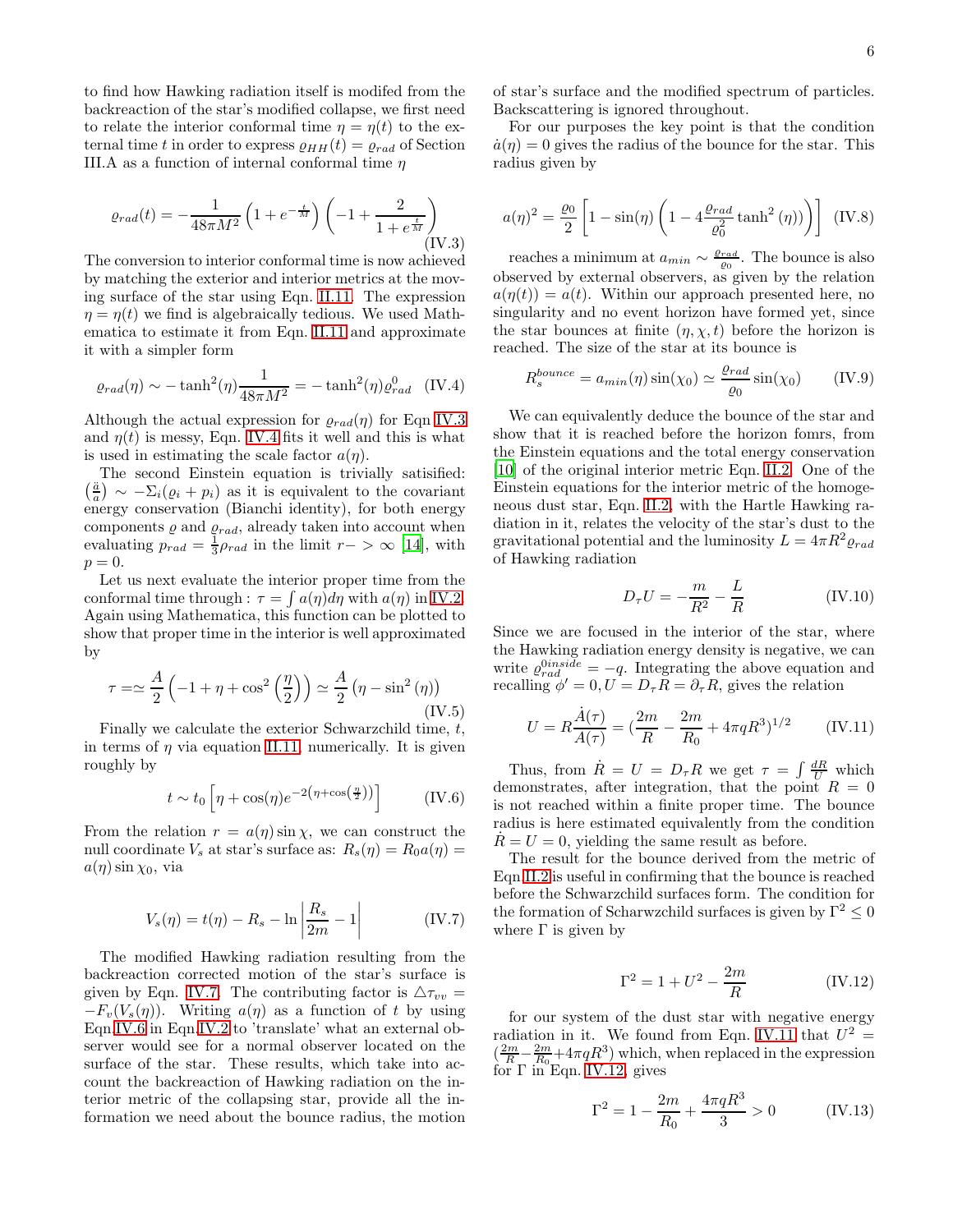to find how Hawking radiation itself is modifed from the backreaction of the star's modified collapse, we first need to relate the interior conformal time  $\eta = \eta(t)$  to the external time t in order to express  $\varrho_{HH}(t) = \varrho_{rad}$  of Section III.A as a function of internal conformal time  $\eta$ 

<span id="page-5-0"></span>
$$
\varrho_{rad}(t) = -\frac{1}{48\pi M^2} \left( 1 + e^{-\frac{t}{M}} \right) \left( -1 + \frac{2}{1 + e^{\frac{t}{M}}} \right)
$$
(IV.3)

The conversion to interior conformal time is now achieved by matching the exterior and interior metrics at the moving surface of the star using Eqn. [II.11.](#page-2-0) The expression  $\eta = \eta(t)$  we find is algebraically tedious. We used Mathematica to estimate it from Eqn. [II.11](#page-2-0) and approximate it with a simpler form

<span id="page-5-1"></span>
$$
\varrho_{rad}(\eta) \sim -\tanh^2(\eta) \frac{1}{48\pi M^2} = -\tanh^2(\eta) \varrho_{rad}^0 \quad (IV.4)
$$

Although the actual expression for  $\varrho_{rad}(\eta)$  for Eqn [IV.3](#page-5-0) and  $\eta(t)$  is messy, Eqn. [IV.4](#page-5-1) fits it well and this is what is used in estimating the scale factor  $a(\eta)$ .

The second Einstein equation is trivially satisified:  $\left(\frac{\ddot{a}}{a}\right) \sim -\Sigma_i(\varrho_i + p_i)$  as it is equivalent to the covariant energy conservation (Bianchi identity), for both energy components  $\varrho$  and  $\varrho_{rad}$ , already taken into account when evaluating  $p_{rad} = \frac{1}{3} \rho_{rad}$  in the limit  $r - > \infty$  [\[14](#page-7-10)], with  $p=0.$ 

Let us next evaluate the interior proper time from the conformal time through :  $\tau = \int a(\eta) d\eta$  with  $a(\eta)$  in [IV.2.](#page-4-1) Again using Mathematica, this function can be plotted to show that proper time in the interior is well approximated by

$$
\tau = \simeq \frac{A}{2} \left( -1 + \eta + \cos^2 \left( \frac{\eta}{2} \right) \right) \simeq \frac{A}{2} \left( \eta - \sin^2 \left( \eta \right) \right)
$$
\n(IV.5)

Finally we calculate the exterior Schwarzchild time, t, in terms of  $\eta$  via equation [II.11,](#page-2-0) numerically. It is given roughly by

<span id="page-5-3"></span>
$$
t \sim t_0 \left[ \eta + \cos(\eta) e^{-2\left(\eta + \cos\left(\frac{\eta}{2}\right)\right)} \right] \tag{IV.6}
$$

From the relation  $r = a(\eta) \sin \chi$ , we can construct the null coordinate  $V_s$  at star's surface as:  $R_s(\eta) = R_0 a(\eta)$  $a(\eta)$  sin  $\chi_0$ , via

<span id="page-5-2"></span>
$$
V_s(\eta) = t(\eta) - R_s - \ln\left|\frac{R_s}{2m} - 1\right| \tag{IV.7}
$$

The modified Hawking radiation resulting from the backreaction corrected motion of the star's surface is given by Eqn. [IV.7.](#page-5-2) The contributing factor is  $\Delta \tau_{vv} =$  $-F_v(V_s(\eta))$ . Writing  $a(\eta)$  as a function of t by using Eqn[.IV.6](#page-5-3) in Eqn[.IV.2](#page-4-1) to 'translate' what an external observer would see for a normal observer located on the surface of the star. These results, which take into account the backreaction of Hawking radiation on the interior metric of the collapsing star, provide all the information we need about the bounce radius, the motion of star's surface and the modified spectrum of particles. Backscattering is ignored throughout.

For our purposes the key point is that the condition  $\dot{a}(\eta) = 0$  gives the radius of the bounce for the star. This radius given by

$$
a(\eta)^{2} = \frac{\varrho_{0}}{2} \left[ 1 - \sin(\eta) \left( 1 - 4 \frac{\varrho_{rad}}{\varrho_{0}^{2}} \tanh^{2}(\eta) \right) \right] \tag{IV.8}
$$

reaches a minimum at  $a_{min} \sim \frac{\varrho_{rad}}{\varrho_0}$ . The bounce is also observed by external observers, as given by the relation  $a(\eta(t)) = a(t)$ . Within our approach presented here, no singularity and no event horizon have formed yet, since the star bounces at finite  $(\eta, \chi, t)$  before the horizon is reached. The size of the star at its bounce is

$$
R_s^{bounce} = a_{min}(\eta)\sin(\chi_0) \simeq \frac{\varrho_{rad}}{\varrho_0}\sin(\chi_0) \qquad (IV.9)
$$

We can equivalently deduce the bounce of the star and show that it is reached before the horizon fomrs, from the Einstein equations and the total energy conservation [\[10\]](#page-7-8) of the original interior metric Eqn. [II.2.](#page-0-0) One of the Einstein equations for the interior metric of the homogeneous dust star, Eqn. [II.2,](#page-0-0) with the Hartle Hawking radiation in it, relates the velocity of the star's dust to the gravitational potential and the luminosity  $L = 4\pi R^2 \rho_{rad}$ of Hawking radiation

$$
D_{\tau}U = -\frac{m}{R^2} - \frac{L}{R}
$$
 (IV.10)

Since we are focused in the interior of the star, where the Hawking radiation energy density is negative, we can write  $\varrho_{rad}^{0inside} = -q$ . Integrating the above equation and recalling  $\phi' = 0, U = D_{\tau}R = \partial_{\tau}R$ , gives the relation

<span id="page-5-4"></span>
$$
U = R\frac{\dot{A}(\tau)}{A(\tau)} = \left(\frac{2m}{R} - \frac{2m}{R_0} + 4\pi qR^3\right)^{1/2} \tag{IV.11}
$$

Thus, from  $\dot{R} = U = D_{\tau}R$  we get  $\tau = \int \frac{dR}{U}$  which demonstrates, after integration, that the point  $R = 0$ is not reached within a finite proper time. The bounce radius is here estimated equivalently from the condition  $R = U = 0$ , yielding the same result as before.

The result for the bounce derived from the metric of Eqn[.II.2](#page-0-0) is useful in confirming that the bounce is reached before the Schwarzchild surfaces form. The condition for the formation of Scharwzchild surfaces is given by  $\Gamma^2 \leq 0$ where  $\Gamma$  is given by

<span id="page-5-5"></span>
$$
\Gamma^2 = 1 + U^2 - \frac{2m}{R}
$$
 (IV.12)

for our system of the dust star with negative energy radiation in it. We found from Eqn. [IV.11](#page-5-4) that  $U^2 =$  $\left(\frac{2m}{R} - \frac{2m}{R_0} + 4\pi qR^3\right)$  which, when replaced in the expression for  $\Gamma$  in Eqn. [IV.12,](#page-5-5) gives

$$
\Gamma^2 = 1 - \frac{2m}{R_0} + \frac{4\pi q R^3}{3} > 0
$$
 (IV.13)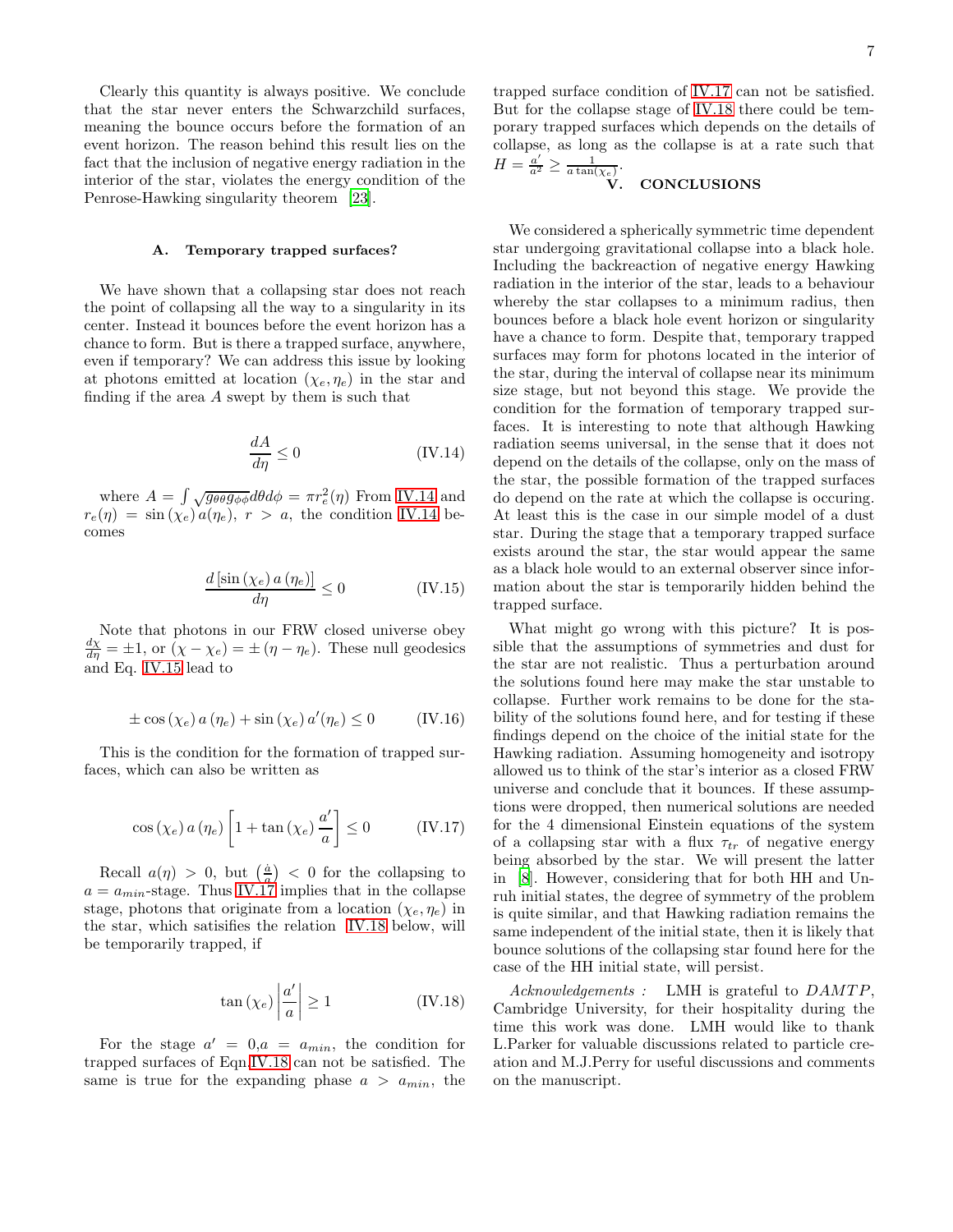Clearly this quantity is always positive. We conclude that the star never enters the Schwarzchild surfaces, meaning the bounce occurs before the formation of an event horizon. The reason behind this result lies on the fact that the inclusion of negative energy radiation in the interior of the star, violates the energy condition of the Penrose-Hawking singularity theorem [\[23\]](#page-7-20).

### A. Temporary trapped surfaces?

We have shown that a collapsing star does not reach the point of collapsing all the way to a singularity in its center. Instead it bounces before the event horizon has a chance to form. But is there a trapped surface, anywhere, even if temporary? We can address this issue by looking at photons emitted at location  $(\chi_e, \eta_e)$  in the star and finding if the area  $A$  swept by them is such that

<span id="page-6-0"></span>
$$
\frac{dA}{d\eta} \le 0\tag{IV.14}
$$

where  $A = \int \sqrt{g_{\theta\theta}g_{\phi\phi}}d\theta d\phi = \pi r_e^2(\eta)$  From [IV.14](#page-6-0) and  $r_e(\eta) = \sin(\chi_e) a(\eta_e), r > a$ , the condition [IV.14](#page-6-0) becomes

<span id="page-6-1"></span>
$$
\frac{d\left[\sin\left(\chi_e\right)a\left(\eta_e\right)\right]}{d\eta} \le 0 \tag{IV.15}
$$

Note that photons in our FRW closed universe obey  $\frac{d\chi}{d\eta} = \pm 1$ , or  $(\chi - \chi_e) = \pm (\eta - \eta_e)$ . These null geodesics and Eq. [IV.15](#page-6-1) lead to

$$
\pm \cos(\chi_e) a(\eta_e) + \sin(\chi_e) a'(\eta_e) \le 0 \tag{IV.16}
$$

This is the condition for the formation of trapped surfaces, which can also be written as

<span id="page-6-2"></span>
$$
\cos\left(\chi_e\right) a\left(\eta_e\right) \left[1 + \tan\left(\chi_e\right) \frac{a'}{a}\right] \le 0 \tag{IV.17}
$$

Recall  $a(\eta) > 0$ , but  $\left(\frac{a}{a}\right) < 0$  for the collapsing to  $a = a_{min}$ -stage. Thus [IV.17](#page-6-2) implies that in the collapse stage, photons that originate from a location  $(\chi_e, \eta_e)$  in the star, which satisifies the relation [IV.18](#page-6-3) below, will be temporarily trapped, if

<span id="page-6-3"></span>
$$
\tan\left(\chi_e\right) \left| \frac{a'}{a} \right| \ge 1\tag{IV.18}
$$

For the stage  $a' = 0, a = a_{min}$ , the condition for trapped surfaces of Eqn[.IV.18](#page-6-3) can not be satisfied. The same is true for the expanding phase  $a > a_{min}$ , the

trapped surface condition of [IV.17](#page-6-2) can not be satisfied. But for the collapse stage of [IV.18](#page-6-3) there could be temporary trapped surfaces which depends on the details of collapse, as long as the collapse is at a rate such that  $H = \frac{a'}{a^2} \geq \frac{1}{a \tan(\chi_e)}.$ 

# **CONCLUSIONS**

We considered a spherically symmetric time dependent star undergoing gravitational collapse into a black hole. Including the backreaction of negative energy Hawking radiation in the interior of the star, leads to a behaviour whereby the star collapses to a minimum radius, then bounces before a black hole event horizon or singularity have a chance to form. Despite that, temporary trapped surfaces may form for photons located in the interior of the star, during the interval of collapse near its minimum size stage, but not beyond this stage. We provide the condition for the formation of temporary trapped surfaces. It is interesting to note that although Hawking radiation seems universal, in the sense that it does not depend on the details of the collapse, only on the mass of the star, the possible formation of the trapped surfaces do depend on the rate at which the collapse is occuring. At least this is the case in our simple model of a dust star. During the stage that a temporary trapped surface exists around the star, the star would appear the same as a black hole would to an external observer since information about the star is temporarily hidden behind the trapped surface.

What might go wrong with this picture? It is possible that the assumptions of symmetries and dust for the star are not realistic. Thus a perturbation around the solutions found here may make the star unstable to collapse. Further work remains to be done for the stability of the solutions found here, and for testing if these findings depend on the choice of the initial state for the Hawking radiation. Assuming homogeneity and isotropy allowed us to think of the star's interior as a closed FRW universe and conclude that it bounces. If these assumptions were dropped, then numerical solutions are needed for the 4 dimensional Einstein equations of the system of a collapsing star with a flux  $\tau_{tr}$  of negative energy being absorbed by the star. We will present the latter in [\[8](#page-7-7)]. However, considering that for both HH and Unruh initial states, the degree of symmetry of the problem is quite similar, and that Hawking radiation remains the same independent of the initial state, then it is likely that bounce solutions of the collapsing star found here for the case of the HH initial state, will persist.

Acknowledgements : LMH is grateful to  $DAMTP$ , Cambridge University, for their hospitality during the time this work was done. LMH would like to thank L.Parker for valuable discussions related to particle creation and M.J.Perry for useful discussions and comments on the manuscript.